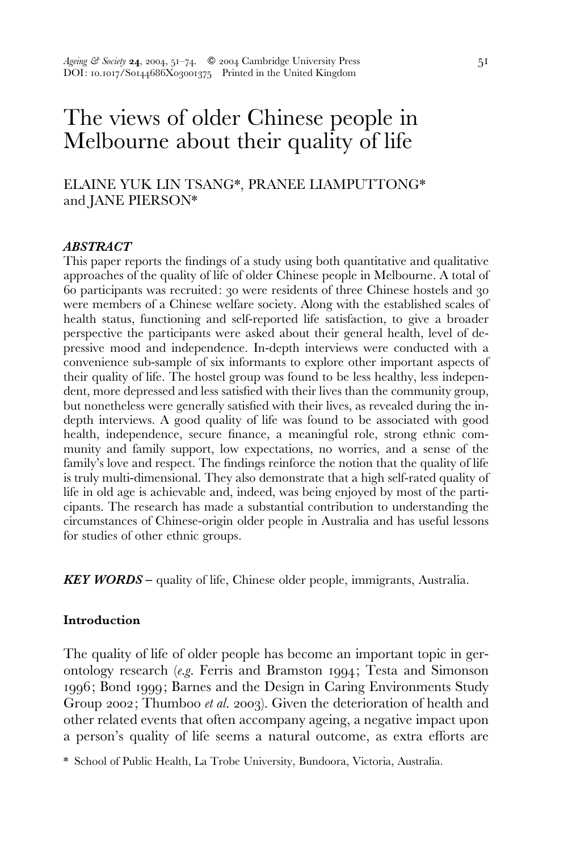# The views of older Chinese people in Melbourne about their quality of life

# ELAINE YUK LIN TSANG\*, PRANEE LIAMPUTTONG\* and JANE PIERSON\*

#### ABSTRACT

This paper reports the findings of a study using both quantitative and qualitative approaches of the quality of life of older Chinese people in Melbourne. A total of 60 participants was recruited: 30 were residents of three Chinese hostels and 30 were members of a Chinese welfare society. Along with the established scales of health status, functioning and self-reported life satisfaction, to give a broader perspective the participants were asked about their general health, level of depressive mood and independence. In-depth interviews were conducted with a convenience sub-sample of six informants to explore other important aspects of their quality of life. The hostel group was found to be less healthy, less independent, more depressed and less satisfied with their lives than the community group, but nonetheless were generally satisfied with their lives, as revealed during the indepth interviews. A good quality of life was found to be associated with good health, independence, secure finance, a meaningful role, strong ethnic community and family support, low expectations, no worries, and a sense of the family's love and respect. The findings reinforce the notion that the quality of life is truly multi-dimensional. They also demonstrate that a high self-rated quality of life in old age is achievable and, indeed, was being enjoyed by most of the participants. The research has made a substantial contribution to understanding the circumstances of Chinese-origin older people in Australia and has useful lessons for studies of other ethnic groups.

**KEY WORDS** – quality of life, Chinese older people, immigrants, Australia.

### Introduction

The quality of life of older people has become an important topic in gerontology research (e.g. Ferris and Bramston 1994; Testa and Simonson 1996; Bond 1999; Barnes and the Design in Caring Environments Study Group 2002; Thumboo et al. 2003). Given the deterioration of health and other related events that often accompany ageing, a negative impact upon a person's quality of life seems a natural outcome, as extra efforts are

<sup>\*</sup> School of Public Health, La Trobe University, Bundoora, Victoria, Australia.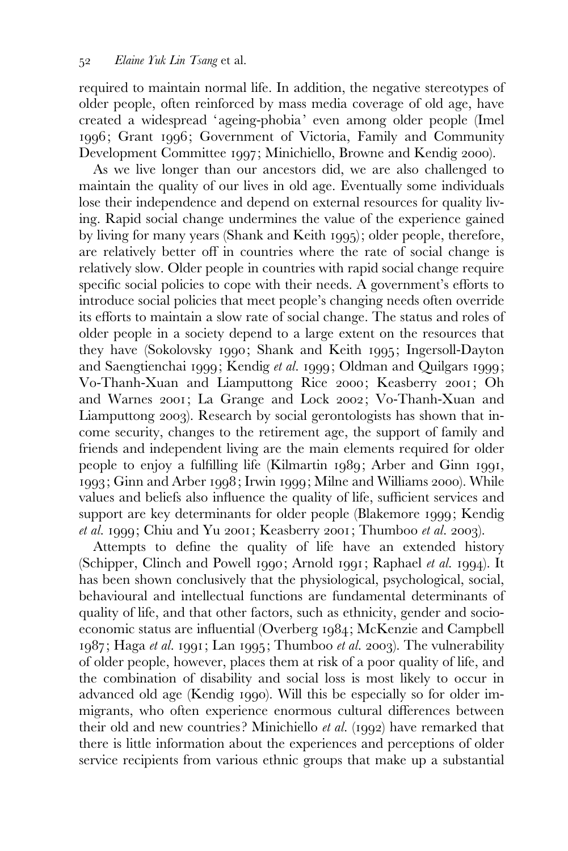required to maintain normal life. In addition, the negative stereotypes of older people, often reinforced by mass media coverage of old age, have created a widespread 'ageing-phobia' even among older people (Imel 1996; Grant 1996; Government of Victoria, Family and Community Development Committee 1997; Minichiello, Browne and Kendig 2000).

As we live longer than our ancestors did, we are also challenged to maintain the quality of our lives in old age. Eventually some individuals lose their independence and depend on external resources for quality living. Rapid social change undermines the value of the experience gained by living for many years (Shank and Keith 1995); older people, therefore, are relatively better off in countries where the rate of social change is relatively slow. Older people in countries with rapid social change require specific social policies to cope with their needs. A government's efforts to introduce social policies that meet people's changing needs often override its efforts to maintain a slow rate of social change. The status and roles of older people in a society depend to a large extent on the resources that they have (Sokolovsky 1990; Shank and Keith 1995; Ingersoll-Dayton and Saengtienchai 1999; Kendig et al. 1999; Oldman and Quilgars 1999; Vo-Thanh-Xuan and Liamputtong Rice 2000; Keasberry 2001; Oh and Warnes 2001; La Grange and Lock 2002; Vo-Thanh-Xuan and Liamputtong 2003). Research by social gerontologists has shown that income security, changes to the retirement age, the support of family and friends and independent living are the main elements required for older people to enjoy a fulfilling life (Kilmartin 1989; Arber and Ginn 1991, 1993; Ginn and Arber 1998; Irwin 1999; Milne and Williams 2000). While values and beliefs also influence the quality of life, sufficient services and support are key determinants for older people (Blakemore 1999; Kendig *et al.* 1999; Chiu and Yu 2001; Keasberry 2001; Thumboo *et al.* 2003).

Attempts to define the quality of life have an extended history (Schipper, Clinch and Powell 1990; Arnold 1991; Raphael et al. 1994). It has been shown conclusively that the physiological, psychological, social, behavioural and intellectual functions are fundamental determinants of quality of life, and that other factors, such as ethnicity, gender and socioeconomic status are influential (Overberg 1984; McKenzie and Campbell 1987; Haga et al. 1991; Lan 1995; Thumboo et al. 2003). The vulnerability of older people, however, places them at risk of a poor quality of life, and the combination of disability and social loss is most likely to occur in advanced old age (Kendig 1990). Will this be especially so for older immigrants, who often experience enormous cultural differences between their old and new countries? Minichiello et al. (1992) have remarked that there is little information about the experiences and perceptions of older service recipients from various ethnic groups that make up a substantial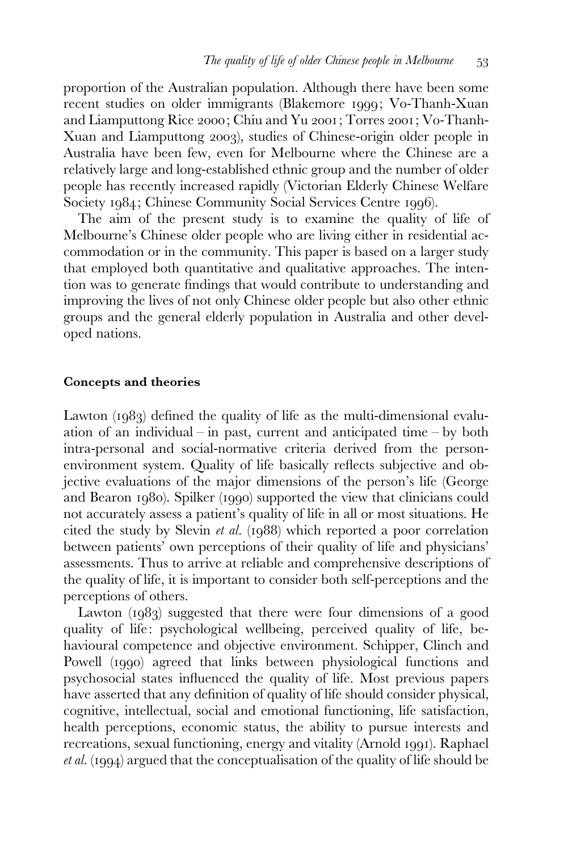proportion of the Australian population. Although there have been some recent studies on older immigrants (Blakemore 1999; Vo-Thanh-Xuan and Liamputtong Rice 2000; Chiu and Yu 2001; Torres 2001; Vo-Thanh-Xuan and Liamputtong 2003), studies of Chinese-origin older people in Australia have been few, even for Melbourne where the Chinese are a relatively large and long-established ethnic group and the number of older people has recently increased rapidly (Victorian Elderly Chinese Welfare Society 1984; Chinese Community Social Services Centre 1996).

The aim of the present study is to examine the quality of life of Melbourne's Chinese older people who are living either in residential accommodation or in the community. This paper is based on a larger study that employed both quantitative and qualitative approaches. The intention was to generate findings that would contribute to understanding and improving the lives of not only Chinese older people but also other ethnic groups and the general elderly population in Australia and other developed nations.

#### Concepts and theories

Lawton (1983) defined the quality of life as the multi-dimensional evaluation of an individual – in past, current and anticipated time – by both intra-personal and social-normative criteria derived from the personenvironment system. Quality of life basically reflects subjective and objective evaluations of the major dimensions of the person's life (George and Bearon 1980). Spilker (1990) supported the view that clinicians could not accurately assess a patient's quality of life in all or most situations. He cited the study by Slevin et al. (1988) which reported a poor correlation between patients' own perceptions of their quality of life and physicians' assessments. Thus to arrive at reliable and comprehensive descriptions of the quality of life, it is important to consider both self-perceptions and the perceptions of others.

Lawton (1983) suggested that there were four dimensions of a good quality of life: psychological wellbeing, perceived quality of life, behavioural competence and objective environment. Schipper, Clinch and Powell (1990) agreed that links between physiological functions and psychosocial states influenced the quality of life. Most previous papers have asserted that any definition of quality of life should consider physical, cognitive, intellectual, social and emotional functioning, life satisfaction, health perceptions, economic status, the ability to pursue interests and recreations, sexual functioning, energy and vitality (Arnold 1991). Raphael et al. (1994) argued that the conceptualisation of the quality of life should be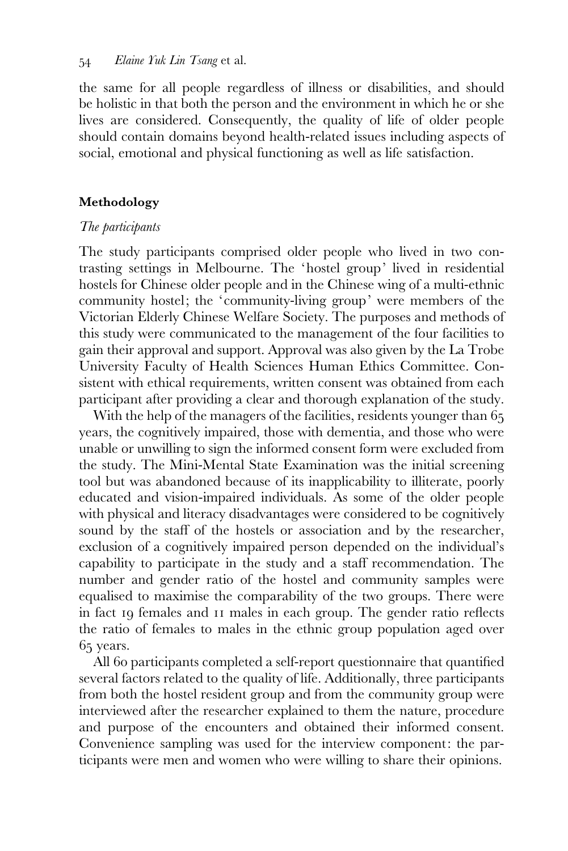the same for all people regardless of illness or disabilities, and should be holistic in that both the person and the environment in which he or she lives are considered. Consequently, the quality of life of older people should contain domains beyond health-related issues including aspects of social, emotional and physical functioning as well as life satisfaction.

#### Methodology

### The participants

The study participants comprised older people who lived in two contrasting settings in Melbourne. The 'hostel group' lived in residential hostels for Chinese older people and in the Chinese wing of a multi-ethnic community hostel; the 'community-living group' were members of the Victorian Elderly Chinese Welfare Society. The purposes and methods of this study were communicated to the management of the four facilities to gain their approval and support. Approval was also given by the La Trobe University Faculty of Health Sciences Human Ethics Committee. Consistent with ethical requirements, written consent was obtained from each participant after providing a clear and thorough explanation of the study.

With the help of the managers of the facilities, residents younger than 65 years, the cognitively impaired, those with dementia, and those who were unable or unwilling to sign the informed consent form were excluded from the study. The Mini-Mental State Examination was the initial screening tool but was abandoned because of its inapplicability to illiterate, poorly educated and vision-impaired individuals. As some of the older people with physical and literacy disadvantages were considered to be cognitively sound by the staff of the hostels or association and by the researcher, exclusion of a cognitively impaired person depended on the individual's capability to participate in the study and a staff recommendation. The number and gender ratio of the hostel and community samples were equalised to maximise the comparability of the two groups. There were in fact 19 females and 11 males in each group. The gender ratio reflects the ratio of females to males in the ethnic group population aged over 65 years.

All 60 participants completed a self-report questionnaire that quantified several factors related to the quality of life. Additionally, three participants from both the hostel resident group and from the community group were interviewed after the researcher explained to them the nature, procedure and purpose of the encounters and obtained their informed consent. Convenience sampling was used for the interview component: the participants were men and women who were willing to share their opinions.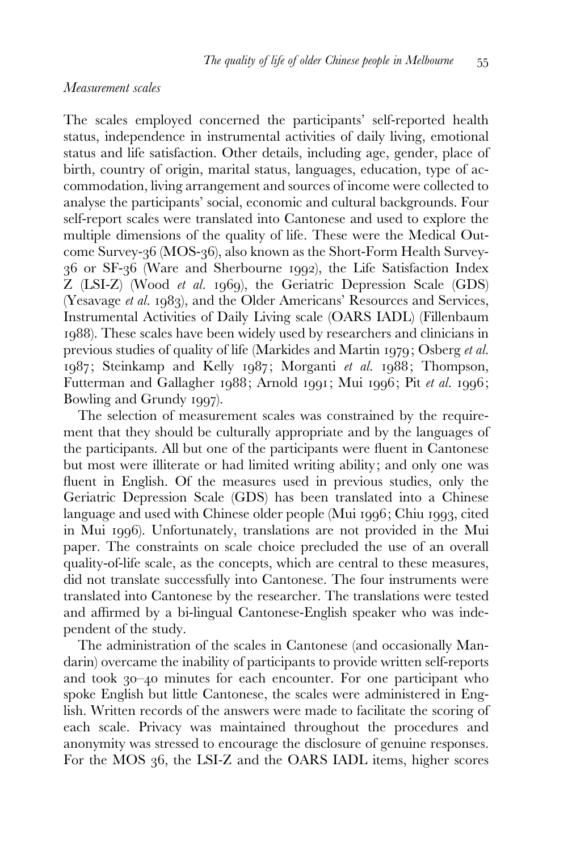#### Measurement scales

The scales employed concerned the participants' self-reported health status, independence in instrumental activities of daily living, emotional status and life satisfaction. Other details, including age, gender, place of birth, country of origin, marital status, languages, education, type of accommodation, living arrangement and sources of income were collected to analyse the participants' social, economic and cultural backgrounds. Four self-report scales were translated into Cantonese and used to explore the multiple dimensions of the quality of life. These were the Medical Outcome Survey-36 (MOS-36), also known as the Short-Form Health Survey-36 or SF-36 (Ware and Sherbourne 1992), the Life Satisfaction Index Z (LSI-Z) (Wood et al. 1969), the Geriatric Depression Scale (GDS) (Yesavage et al. 1983), and the Older Americans' Resources and Services, Instrumental Activities of Daily Living scale (OARS IADL) (Fillenbaum 1988). These scales have been widely used by researchers and clinicians in previous studies of quality of life (Markides and Martin 1979; Osberg et al. 1987; Steinkamp and Kelly 1987; Morganti et al. 1988; Thompson, Futterman and Gallagher 1988; Arnold 1991; Mui 1996; Pit et al. 1996; Bowling and Grundy 1997).

The selection of measurement scales was constrained by the requirement that they should be culturally appropriate and by the languages of the participants. All but one of the participants were fluent in Cantonese but most were illiterate or had limited writing ability; and only one was fluent in English. Of the measures used in previous studies, only the Geriatric Depression Scale (GDS) has been translated into a Chinese language and used with Chinese older people (Mui 1996; Chiu 1993, cited in Mui 1996). Unfortunately, translations are not provided in the Mui paper. The constraints on scale choice precluded the use of an overall quality-of-life scale, as the concepts, which are central to these measures, did not translate successfully into Cantonese. The four instruments were translated into Cantonese by the researcher. The translations were tested and affirmed by a bi-lingual Cantonese-English speaker who was independent of the study.

The administration of the scales in Cantonese (and occasionally Mandarin) overcame the inability of participants to provide written self-reports and took 30–40 minutes for each encounter. For one participant who spoke English but little Cantonese, the scales were administered in English. Written records of the answers were made to facilitate the scoring of each scale. Privacy was maintained throughout the procedures and anonymity was stressed to encourage the disclosure of genuine responses. For the MOS 36, the LSI-Z and the OARS IADL items, higher scores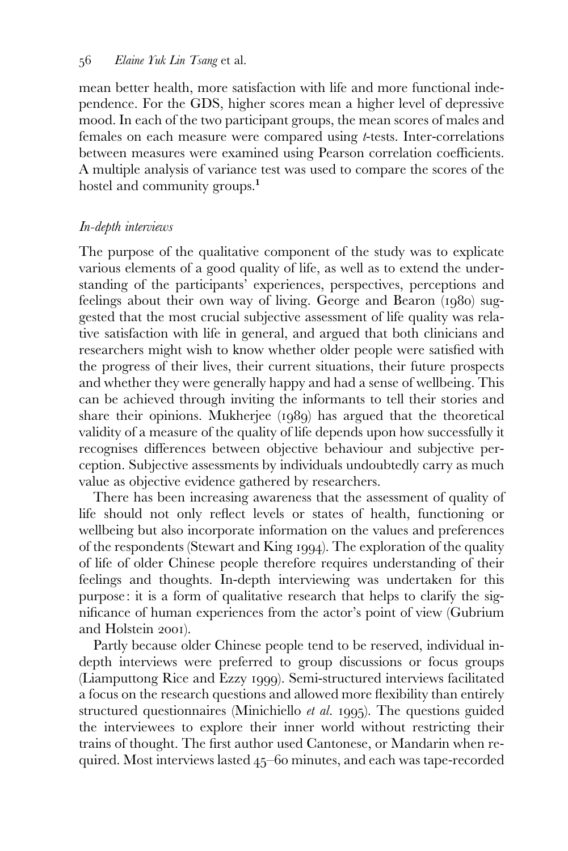mean better health, more satisfaction with life and more functional independence. For the GDS, higher scores mean a higher level of depressive mood. In each of the two participant groups, the mean scores of males and females on each measure were compared using t-tests. Inter-correlations between measures were examined using Pearson correlation coefficients. A multiple analysis of variance test was used to compare the scores of the hostel and community groups.<sup>1</sup>

# In-depth interviews

The purpose of the qualitative component of the study was to explicate various elements of a good quality of life, as well as to extend the understanding of the participants' experiences, perspectives, perceptions and feelings about their own way of living. George and Bearon (1980) suggested that the most crucial subjective assessment of life quality was relative satisfaction with life in general, and argued that both clinicians and researchers might wish to know whether older people were satisfied with the progress of their lives, their current situations, their future prospects and whether they were generally happy and had a sense of wellbeing. This can be achieved through inviting the informants to tell their stories and share their opinions. Mukherjee (1989) has argued that the theoretical validity of a measure of the quality of life depends upon how successfully it recognises differences between objective behaviour and subjective perception. Subjective assessments by individuals undoubtedly carry as much value as objective evidence gathered by researchers.

There has been increasing awareness that the assessment of quality of life should not only reflect levels or states of health, functioning or wellbeing but also incorporate information on the values and preferences of the respondents (Stewart and King 1994). The exploration of the quality of life of older Chinese people therefore requires understanding of their feelings and thoughts. In-depth interviewing was undertaken for this purpose: it is a form of qualitative research that helps to clarify the significance of human experiences from the actor's point of view (Gubrium and Holstein 2001).

Partly because older Chinese people tend to be reserved, individual indepth interviews were preferred to group discussions or focus groups (Liamputtong Rice and Ezzy 1999). Semi-structured interviews facilitated a focus on the research questions and allowed more flexibility than entirely structured questionnaires (Minichiello et al. 1995). The questions guided the interviewees to explore their inner world without restricting their trains of thought. The first author used Cantonese, or Mandarin when required. Most interviews lasted 45–60 minutes, and each was tape-recorded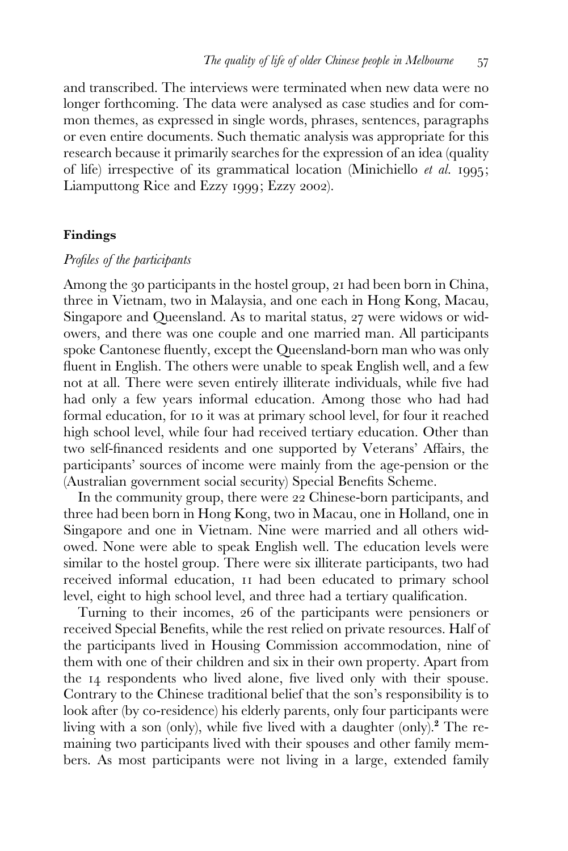and transcribed. The interviews were terminated when new data were no longer forthcoming. The data were analysed as case studies and for common themes, as expressed in single words, phrases, sentences, paragraphs or even entire documents. Such thematic analysis was appropriate for this research because it primarily searches for the expression of an idea (quality of life) irrespective of its grammatical location (Minichiello et al. 1995; Liamputtong Rice and Ezzy 1999; Ezzy 2002).

#### Findings

#### Profiles of the participants

Among the 30 participants in the hostel group, 21 had been born in China, three in Vietnam, two in Malaysia, and one each in Hong Kong, Macau, Singapore and Queensland. As to marital status, 27 were widows or widowers, and there was one couple and one married man. All participants spoke Cantonese fluently, except the Queensland-born man who was only fluent in English. The others were unable to speak English well, and a few not at all. There were seven entirely illiterate individuals, while five had had only a few years informal education. Among those who had had formal education, for 10 it was at primary school level, for four it reached high school level, while four had received tertiary education. Other than two self-financed residents and one supported by Veterans' Affairs, the participants' sources of income were mainly from the age-pension or the (Australian government social security) Special Benefits Scheme.

In the community group, there were 22 Chinese-born participants, and three had been born in Hong Kong, two in Macau, one in Holland, one in Singapore and one in Vietnam. Nine were married and all others widowed. None were able to speak English well. The education levels were similar to the hostel group. There were six illiterate participants, two had received informal education, 11 had been educated to primary school level, eight to high school level, and three had a tertiary qualification.

Turning to their incomes, 26 of the participants were pensioners or received Special Benefits, while the rest relied on private resources. Half of the participants lived in Housing Commission accommodation, nine of them with one of their children and six in their own property. Apart from the 14 respondents who lived alone, five lived only with their spouse. Contrary to the Chinese traditional belief that the son's responsibility is to look after (by co-residence) his elderly parents, only four participants were living with a son (only), while five lived with a daughter (only).<sup>2</sup> The remaining two participants lived with their spouses and other family members. As most participants were not living in a large, extended family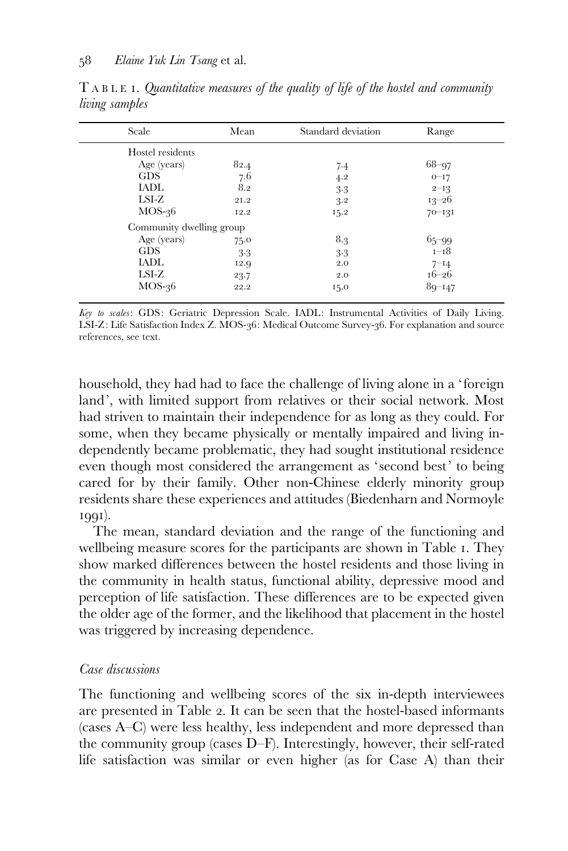| Scale                    | Mean | Standard deviation | Range      |
|--------------------------|------|--------------------|------------|
| Hostel residents         |      |                    |            |
| Age (years)              | 82.4 | 7.4                | $68 - 97$  |
| <b>GDS</b>               | 7.6  | 4.2                | $O-I7$     |
| <b>IADL</b>              | 8.2  | $3-3$              | $2 - 13$   |
| LSI-Z                    | 21.2 | 3.2                | $13 - 26$  |
| $MOS-36$                 | 12.2 | 15.2               | $70 - 131$ |
| Community dwelling group |      |                    |            |
| Age (years)              | 75.0 | 8.3                | $65 - 99$  |
| <b>GDS</b>               | 3.3  | $3-3$              | $1 - 18$   |
| <b>IADL</b>              | 12.9 | 2.0                | $7^{-14}$  |
| LSI-Z                    | 23.7 | 2.0                | $16 - 26$  |
| $MOS-36$                 | 22.2 | 15.0               | $89 - 147$ |

T ABLE 1. Quantitative measures of the quality of life of the hostel and community living samples

Key to scales: GDS: Geriatric Depression Scale. IADL: Instrumental Activities of Daily Living. LSI-Z: Life Satisfaction Index Z. MOS-36: Medical Outcome Survey-36. For explanation and source references, see text.

household, they had had to face the challenge of living alone in a 'foreign land', with limited support from relatives or their social network. Most had striven to maintain their independence for as long as they could. For some, when they became physically or mentally impaired and living independently became problematic, they had sought institutional residence even though most considered the arrangement as ' second best' to being cared for by their family. Other non-Chinese elderly minority group residents share these experiences and attitudes (Biedenharn and Normoyle  $1991)$ .

The mean, standard deviation and the range of the functioning and wellbeing measure scores for the participants are shown in Table 1. They show marked differences between the hostel residents and those living in the community in health status, functional ability, depressive mood and perception of life satisfaction. These differences are to be expected given the older age of the former, and the likelihood that placement in the hostel was triggered by increasing dependence.

#### Case discussions

The functioning and wellbeing scores of the six in-depth interviewees are presented in Table 2. It can be seen that the hostel-based informants (cases A–C) were less healthy, less independent and more depressed than the community group (cases D–F). Interestingly, however, their self-rated life satisfaction was similar or even higher (as for Case A) than their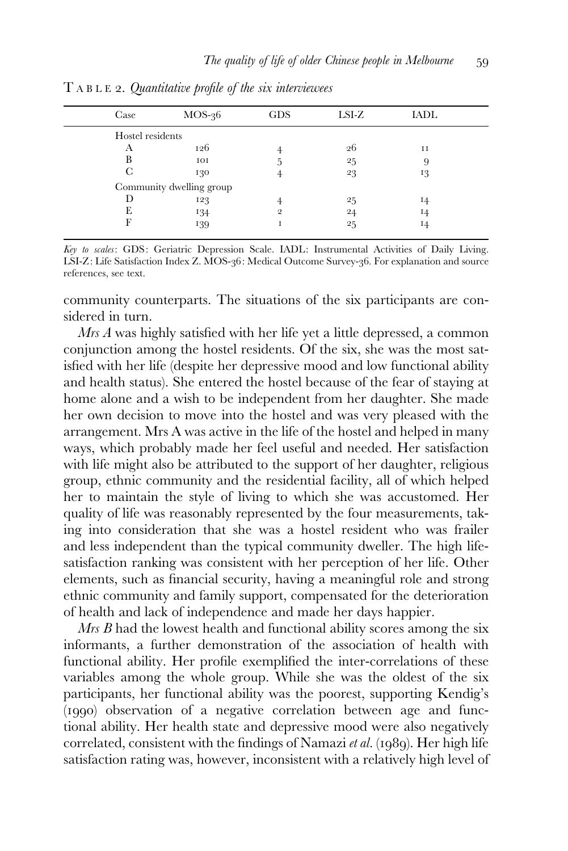| Case             | $MOS-36$                 | <b>GDS</b>     | LSI-Z | IADL |  |
|------------------|--------------------------|----------------|-------|------|--|
| Hostel residents |                          |                |       |      |  |
| А                | 126                      | 4              | 26    | H    |  |
| B                | 101                      | C.             | 25    | 9    |  |
|                  | 130                      | 4              | 23    | 13   |  |
|                  | Community dwelling group |                |       |      |  |
|                  | 123                      |                | 25    | 14   |  |
| E                | 134                      | $\overline{2}$ | 24    | 14   |  |
|                  | 139                      |                | 25    | 14   |  |

T ABLE 2. Quantitative profile of the six interviewees

Key to scales: GDS: Geriatric Depression Scale. IADL: Instrumental Activities of Daily Living. LSI-Z: Life Satisfaction Index Z. MOS-36: Medical Outcome Survey-36. For explanation and source references, see text.

community counterparts. The situations of the six participants are considered in turn.

Mrs A was highly satisfied with her life yet a little depressed, a common conjunction among the hostel residents. Of the six, she was the most satisfied with her life (despite her depressive mood and low functional ability and health status). She entered the hostel because of the fear of staying at home alone and a wish to be independent from her daughter. She made her own decision to move into the hostel and was very pleased with the arrangement. Mrs A was active in the life of the hostel and helped in many ways, which probably made her feel useful and needed. Her satisfaction with life might also be attributed to the support of her daughter, religious group, ethnic community and the residential facility, all of which helped her to maintain the style of living to which she was accustomed. Her quality of life was reasonably represented by the four measurements, taking into consideration that she was a hostel resident who was frailer and less independent than the typical community dweller. The high lifesatisfaction ranking was consistent with her perception of her life. Other elements, such as financial security, having a meaningful role and strong ethnic community and family support, compensated for the deterioration of health and lack of independence and made her days happier.

 $Mrs$  B had the lowest health and functional ability scores among the six informants, a further demonstration of the association of health with functional ability. Her profile exemplified the inter-correlations of these variables among the whole group. While she was the oldest of the six participants, her functional ability was the poorest, supporting Kendig's (1990) observation of a negative correlation between age and functional ability. Her health state and depressive mood were also negatively correlated, consistent with the findings of Namazi et al. (1989). Her high life satisfaction rating was, however, inconsistent with a relatively high level of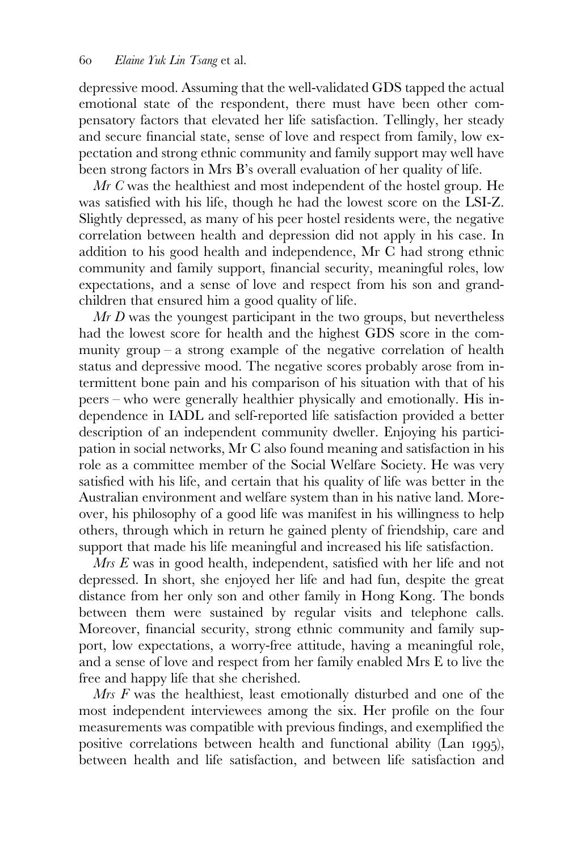depressive mood. Assuming that the well-validated GDS tapped the actual emotional state of the respondent, there must have been other compensatory factors that elevated her life satisfaction. Tellingly, her steady and secure financial state, sense of love and respect from family, low expectation and strong ethnic community and family support may well have been strong factors in Mrs B's overall evaluation of her quality of life.

 $MrC$  was the healthiest and most independent of the hostel group. He was satisfied with his life, though he had the lowest score on the LSI-Z. Slightly depressed, as many of his peer hostel residents were, the negative correlation between health and depression did not apply in his case. In addition to his good health and independence, Mr C had strong ethnic community and family support, financial security, meaningful roles, low expectations, and a sense of love and respect from his son and grandchildren that ensured him a good quality of life.

 $MrD$  was the youngest participant in the two groups, but nevertheless had the lowest score for health and the highest GDS score in the community group – a strong example of the negative correlation of health status and depressive mood. The negative scores probably arose from intermittent bone pain and his comparison of his situation with that of his peers – who were generally healthier physically and emotionally. His independence in IADL and self-reported life satisfaction provided a better description of an independent community dweller. Enjoying his participation in social networks, Mr C also found meaning and satisfaction in his role as a committee member of the Social Welfare Society. He was very satisfied with his life, and certain that his quality of life was better in the Australian environment and welfare system than in his native land. Moreover, his philosophy of a good life was manifest in his willingness to help others, through which in return he gained plenty of friendship, care and support that made his life meaningful and increased his life satisfaction.

 $Mrs E$  was in good health, independent, satisfied with her life and not depressed. In short, she enjoyed her life and had fun, despite the great distance from her only son and other family in Hong Kong. The bonds between them were sustained by regular visits and telephone calls. Moreover, financial security, strong ethnic community and family support, low expectations, a worry-free attitude, having a meaningful role, and a sense of love and respect from her family enabled Mrs E to live the free and happy life that she cherished.

 $Mrs$  F was the healthiest, least emotionally disturbed and one of the most independent interviewees among the six. Her profile on the four measurements was compatible with previous findings, and exemplified the positive correlations between health and functional ability (Lan 1995), between health and life satisfaction, and between life satisfaction and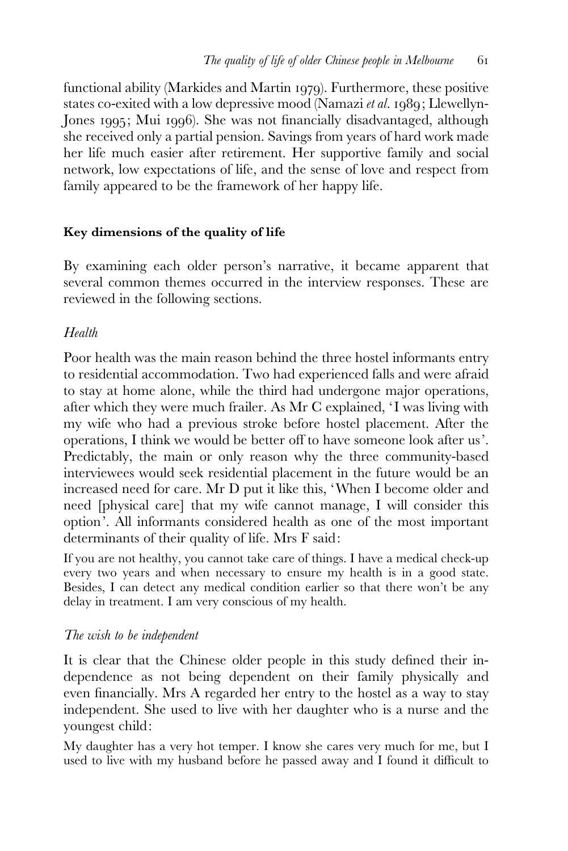functional ability (Markides and Martin 1979). Furthermore, these positive states co-exited with a low depressive mood (Namazi et al. 1989; Llewellyn-Jones 1995; Mui 1996). She was not financially disadvantaged, although she received only a partial pension. Savings from years of hard work made her life much easier after retirement. Her supportive family and social network, low expectations of life, and the sense of love and respect from family appeared to be the framework of her happy life.

# Key dimensions of the quality of life

By examining each older person's narrative, it became apparent that several common themes occurred in the interview responses. These are reviewed in the following sections.

# **Health**

Poor health was the main reason behind the three hostel informants entry to residential accommodation. Two had experienced falls and were afraid to stay at home alone, while the third had undergone major operations, after which they were much frailer. As Mr C explained, 'I was living with my wife who had a previous stroke before hostel placement. After the operations, I think we would be better off to have someone look after us'. Predictably, the main or only reason why the three community-based interviewees would seek residential placement in the future would be an increased need for care. Mr D put it like this, 'When I become older and need [physical care] that my wife cannot manage, I will consider this option'. All informants considered health as one of the most important determinants of their quality of life. Mrs F said:

If you are not healthy, you cannot take care of things. I have a medical check-up every two years and when necessary to ensure my health is in a good state. Besides, I can detect any medical condition earlier so that there won't be any delay in treatment. I am very conscious of my health.

# The wish to be independent

It is clear that the Chinese older people in this study defined their independence as not being dependent on their family physically and even financially. Mrs A regarded her entry to the hostel as a way to stay independent. She used to live with her daughter who is a nurse and the youngest child:

My daughter has a very hot temper. I know she cares very much for me, but I used to live with my husband before he passed away and I found it difficult to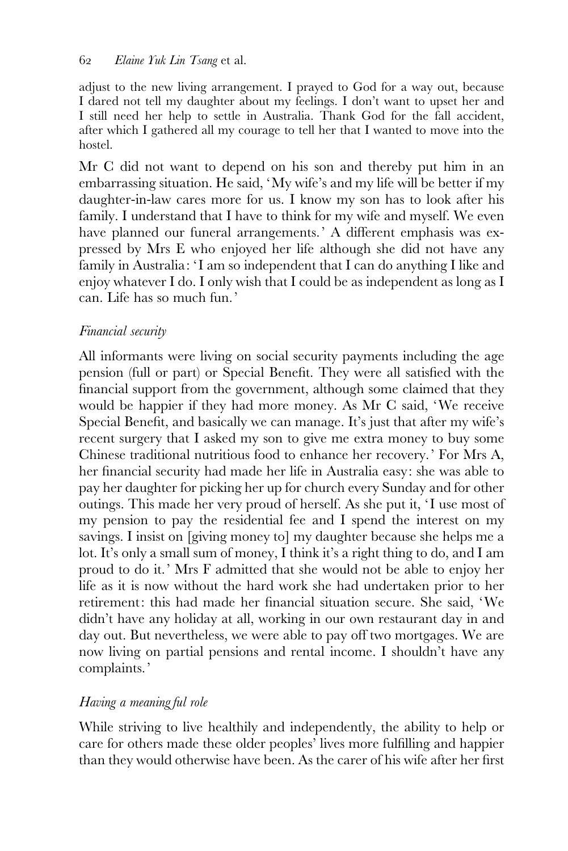## 62 Elaine Yuk Lin Tsang et al.

adjust to the new living arrangement. I prayed to God for a way out, because I dared not tell my daughter about my feelings. I don't want to upset her and I still need her help to settle in Australia. Thank God for the fall accident, after which I gathered all my courage to tell her that I wanted to move into the hostel.

Mr C did not want to depend on his son and thereby put him in an embarrassing situation. He said, 'My wife's and my life will be better if my daughter-in-law cares more for us. I know my son has to look after his family. I understand that I have to think for my wife and myself. We even have planned our funeral arrangements.' A different emphasis was expressed by Mrs E who enjoyed her life although she did not have any family in Australia: 'I am so independent that I can do anything I like and enjoy whatever I do. I only wish that I could be as independent as long as I can. Life has so much fun.'

# Financial security

All informants were living on social security payments including the age pension (full or part) or Special Benefit. They were all satisfied with the financial support from the government, although some claimed that they would be happier if they had more money. As Mr C said, 'We receive Special Benefit, and basically we can manage. It's just that after my wife's recent surgery that I asked my son to give me extra money to buy some Chinese traditional nutritious food to enhance her recovery.' For Mrs A, her financial security had made her life in Australia easy: she was able to pay her daughter for picking her up for church every Sunday and for other outings. This made her very proud of herself. As she put it, 'I use most of my pension to pay the residential fee and I spend the interest on my savings. I insist on [giving money to] my daughter because she helps me a lot. It's only a small sum of money, I think it's a right thing to do, and I am proud to do it.' Mrs F admitted that she would not be able to enjoy her life as it is now without the hard work she had undertaken prior to her retirement: this had made her financial situation secure. She said, 'We didn't have any holiday at all, working in our own restaurant day in and day out. But nevertheless, we were able to pay off two mortgages. We are now living on partial pensions and rental income. I shouldn't have any complaints.'

# Having a meaning ful role

While striving to live healthily and independently, the ability to help or care for others made these older peoples' lives more fulfilling and happier than they would otherwise have been. As the carer of his wife after her first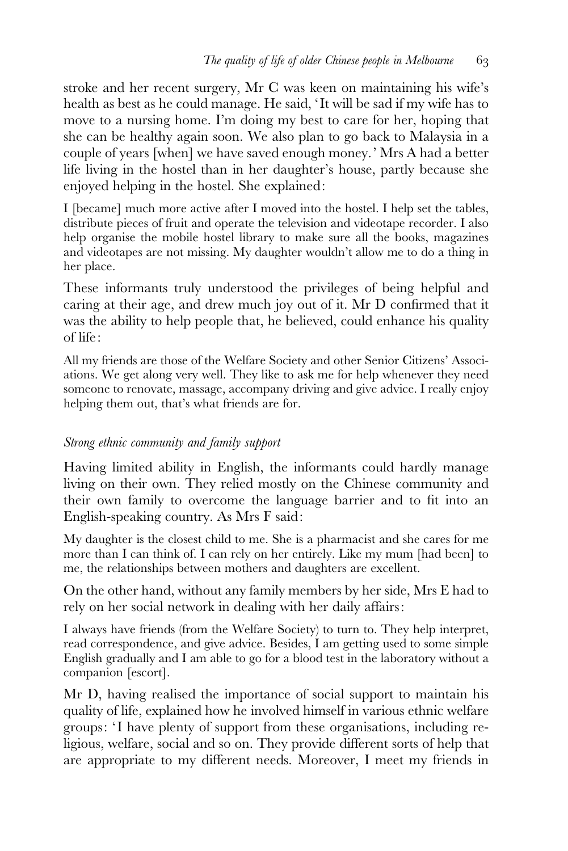stroke and her recent surgery, Mr C was keen on maintaining his wife's health as best as he could manage. He said, ' It will be sad if my wife has to move to a nursing home. I'm doing my best to care for her, hoping that she can be healthy again soon. We also plan to go back to Malaysia in a couple of years [when] we have saved enough money.' Mrs A had a better life living in the hostel than in her daughter's house, partly because she enjoyed helping in the hostel. She explained:

I [became] much more active after I moved into the hostel. I help set the tables, distribute pieces of fruit and operate the television and videotape recorder. I also help organise the mobile hostel library to make sure all the books, magazines and videotapes are not missing. My daughter wouldn't allow me to do a thing in her place.

These informants truly understood the privileges of being helpful and caring at their age, and drew much joy out of it. Mr D confirmed that it was the ability to help people that, he believed, could enhance his quality of life:

All my friends are those of the Welfare Society and other Senior Citizens' Associations. We get along very well. They like to ask me for help whenever they need someone to renovate, massage, accompany driving and give advice. I really enjoy helping them out, that's what friends are for.

# Strong ethnic community and family support

Having limited ability in English, the informants could hardly manage living on their own. They relied mostly on the Chinese community and their own family to overcome the language barrier and to fit into an English-speaking country. As Mrs F said:

My daughter is the closest child to me. She is a pharmacist and she cares for me more than I can think of. I can rely on her entirely. Like my mum [had been] to me, the relationships between mothers and daughters are excellent.

On the other hand, without any family members by her side, Mrs E had to rely on her social network in dealing with her daily affairs:

I always have friends (from the Welfare Society) to turn to. They help interpret, read correspondence, and give advice. Besides, I am getting used to some simple English gradually and I am able to go for a blood test in the laboratory without a companion [escort].

Mr D, having realised the importance of social support to maintain his quality of life, explained how he involved himself in various ethnic welfare groups: 'I have plenty of support from these organisations, including religious, welfare, social and so on. They provide different sorts of help that are appropriate to my different needs. Moreover, I meet my friends in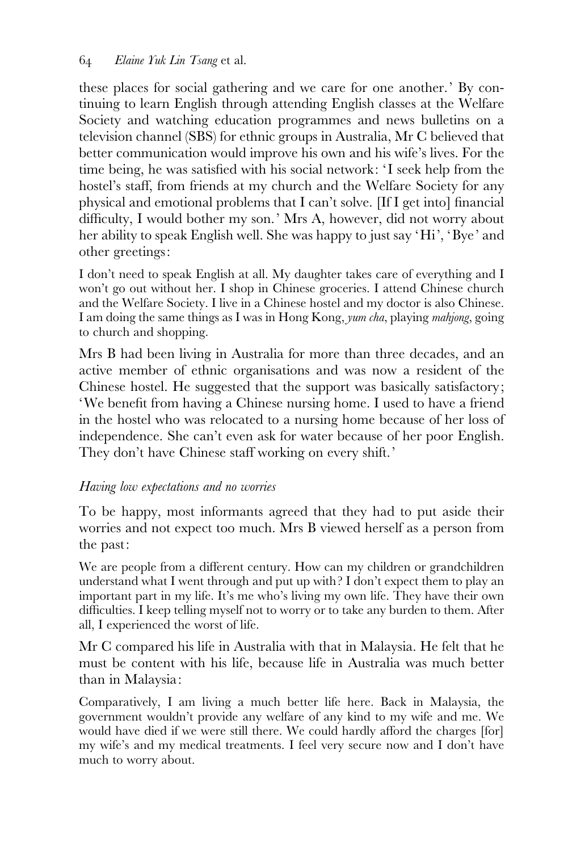these places for social gathering and we care for one another.' By continuing to learn English through attending English classes at the Welfare Society and watching education programmes and news bulletins on a television channel (SBS) for ethnic groups in Australia, Mr C believed that better communication would improve his own and his wife's lives. For the time being, he was satisfied with his social network: 'I seek help from the hostel's staff, from friends at my church and the Welfare Society for any physical and emotional problems that I can't solve. [If I get into] financial difficulty, I would bother my son.' Mrs A, however, did not worry about her ability to speak English well. She was happy to just say 'Hi', 'Bye' and other greetings:

I don't need to speak English at all. My daughter takes care of everything and I won't go out without her. I shop in Chinese groceries. I attend Chinese church and the Welfare Society. I live in a Chinese hostel and my doctor is also Chinese. I am doing the same things as I was in Hong Kong, *yum cha*, playing *mahjong*, going to church and shopping.

Mrs B had been living in Australia for more than three decades, and an active member of ethnic organisations and was now a resident of the Chinese hostel. He suggested that the support was basically satisfactory; 'We benefit from having a Chinese nursing home. I used to have a friend in the hostel who was relocated to a nursing home because of her loss of independence. She can't even ask for water because of her poor English. They don't have Chinese staff working on every shift.'

# Having low expectations and no worries

To be happy, most informants agreed that they had to put aside their worries and not expect too much. Mrs B viewed herself as a person from the past:

We are people from a different century. How can my children or grandchildren understand what I went through and put up with? I don't expect them to play an important part in my life. It's me who's living my own life. They have their own difficulties. I keep telling myself not to worry or to take any burden to them. After all, I experienced the worst of life.

Mr C compared his life in Australia with that in Malaysia. He felt that he must be content with his life, because life in Australia was much better than in Malaysia:

Comparatively, I am living a much better life here. Back in Malaysia, the government wouldn't provide any welfare of any kind to my wife and me. We would have died if we were still there. We could hardly afford the charges [for] my wife's and my medical treatments. I feel very secure now and I don't have much to worry about.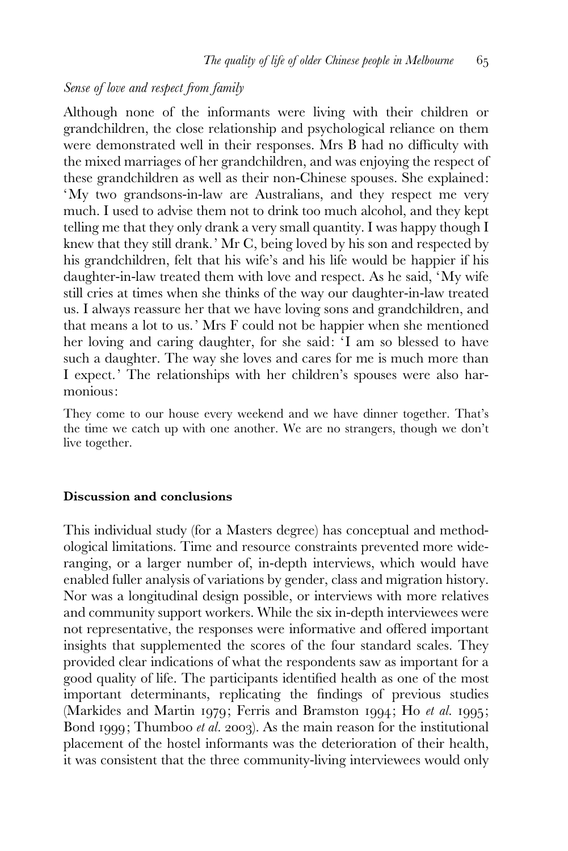# Sense of love and respect from family

Although none of the informants were living with their children or grandchildren, the close relationship and psychological reliance on them were demonstrated well in their responses. Mrs B had no difficulty with the mixed marriages of her grandchildren, and was enjoying the respect of these grandchildren as well as their non-Chinese spouses. She explained: 'My two grandsons-in-law are Australians, and they respect me very much. I used to advise them not to drink too much alcohol, and they kept telling me that they only drank a very small quantity. I was happy though I knew that they still drank.' Mr C, being loved by his son and respected by his grandchildren, felt that his wife's and his life would be happier if his daughter-in-law treated them with love and respect. As he said, 'My wife still cries at times when she thinks of the way our daughter-in-law treated us. I always reassure her that we have loving sons and grandchildren, and that means a lot to us.' Mrs F could not be happier when she mentioned her loving and caring daughter, for she said: 'I am so blessed to have such a daughter. The way she loves and cares for me is much more than I expect.' The relationships with her children's spouses were also harmonious:

They come to our house every weekend and we have dinner together. That's the time we catch up with one another. We are no strangers, though we don't live together.

### Discussion and conclusions

This individual study (for a Masters degree) has conceptual and methodological limitations. Time and resource constraints prevented more wideranging, or a larger number of, in-depth interviews, which would have enabled fuller analysis of variations by gender, class and migration history. Nor was a longitudinal design possible, or interviews with more relatives and community support workers. While the six in-depth interviewees were not representative, the responses were informative and offered important insights that supplemented the scores of the four standard scales. They provided clear indications of what the respondents saw as important for a good quality of life. The participants identified health as one of the most important determinants, replicating the findings of previous studies (Markides and Martin 1979; Ferris and Bramston 1994; Ho et al. 1995; Bond 1999; Thumboo et al. 2003). As the main reason for the institutional placement of the hostel informants was the deterioration of their health, it was consistent that the three community-living interviewees would only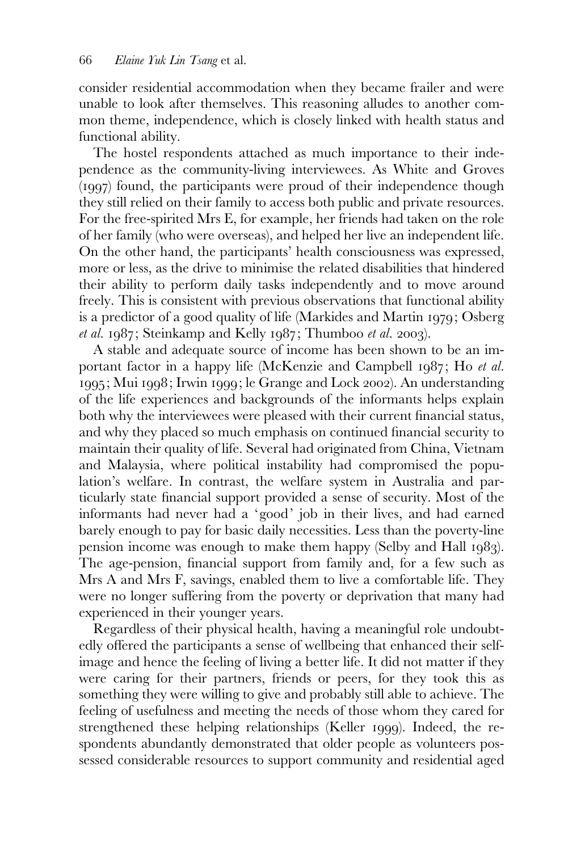consider residential accommodation when they became frailer and were unable to look after themselves. This reasoning alludes to another common theme, independence, which is closely linked with health status and functional ability.

The hostel respondents attached as much importance to their independence as the community-living interviewees. As White and Groves (1997) found, the participants were proud of their independence though they still relied on their family to access both public and private resources. For the free-spirited Mrs E, for example, her friends had taken on the role of her family (who were overseas), and helped her live an independent life. On the other hand, the participants' health consciousness was expressed, more or less, as the drive to minimise the related disabilities that hindered their ability to perform daily tasks independently and to move around freely. This is consistent with previous observations that functional ability is a predictor of a good quality of life (Markides and Martin 1979; Osberg et al. 1987; Steinkamp and Kelly 1987; Thumboo et al. 2003).

A stable and adequate source of income has been shown to be an important factor in a happy life (McKenzie and Campbell 1987; Ho et al. 1995; Mui 1998; Irwin 1999; le Grange and Lock 2002). An understanding of the life experiences and backgrounds of the informants helps explain both why the interviewees were pleased with their current financial status, and why they placed so much emphasis on continued financial security to maintain their quality of life. Several had originated from China, Vietnam and Malaysia, where political instability had compromised the population's welfare. In contrast, the welfare system in Australia and particularly state financial support provided a sense of security. Most of the informants had never had a 'good' job in their lives, and had earned barely enough to pay for basic daily necessities. Less than the poverty-line pension income was enough to make them happy (Selby and Hall 1983). The age-pension, financial support from family and, for a few such as Mrs A and Mrs F, savings, enabled them to live a comfortable life. They were no longer suffering from the poverty or deprivation that many had experienced in their younger years.

Regardless of their physical health, having a meaningful role undoubtedly offered the participants a sense of wellbeing that enhanced their selfimage and hence the feeling of living a better life. It did not matter if they were caring for their partners, friends or peers, for they took this as something they were willing to give and probably still able to achieve. The feeling of usefulness and meeting the needs of those whom they cared for strengthened these helping relationships (Keller 1999). Indeed, the respondents abundantly demonstrated that older people as volunteers possessed considerable resources to support community and residential aged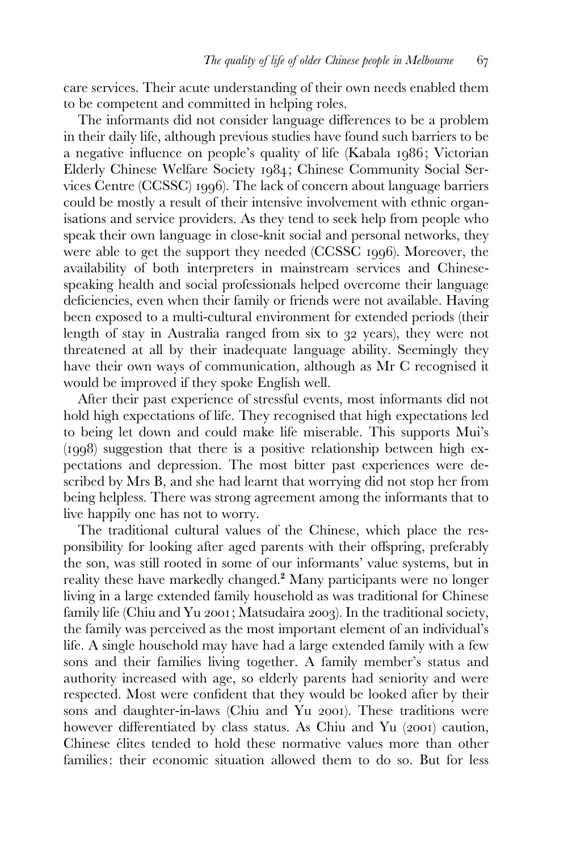care services. Their acute understanding of their own needs enabled them to be competent and committed in helping roles.

The informants did not consider language differences to be a problem in their daily life, although previous studies have found such barriers to be a negative influence on people's quality of life (Kabala 1986; Victorian Elderly Chinese Welfare Society 1984; Chinese Community Social Services Centre (CCSSC) 1996). The lack of concern about language barriers could be mostly a result of their intensive involvement with ethnic organisations and service providers. As they tend to seek help from people who speak their own language in close-knit social and personal networks, they were able to get the support they needed (CCSSC 1996). Moreover, the availability of both interpreters in mainstream services and Chinesespeaking health and social professionals helped overcome their language deficiencies, even when their family or friends were not available. Having been exposed to a multi-cultural environment for extended periods (their length of stay in Australia ranged from six to 32 years), they were not threatened at all by their inadequate language ability. Seemingly they have their own ways of communication, although as Mr C recognised it would be improved if they spoke English well.

After their past experience of stressful events, most informants did not hold high expectations of life. They recognised that high expectations led to being let down and could make life miserable. This supports Mui's (1998) suggestion that there is a positive relationship between high expectations and depression. The most bitter past experiences were described by Mrs B, and she had learnt that worrying did not stop her from being helpless. There was strong agreement among the informants that to live happily one has not to worry.

The traditional cultural values of the Chinese, which place the responsibility for looking after aged parents with their offspring, preferably the son, was still rooted in some of our informants' value systems, but in reality these have markedly changed.<sup>2</sup> Many participants were no longer living in a large extended family household as was traditional for Chinese family life (Chiu and Yu 2001; Matsudaira 2003). In the traditional society, the family was perceived as the most important element of an individual's life. A single household may have had a large extended family with a few sons and their families living together. A family member's status and authority increased with age, so elderly parents had seniority and were respected. Most were confident that they would be looked after by their sons and daughter-in-laws (Chiu and Yu 2001). These traditions were however differentiated by class status. As Chiu and Yu (2001) caution, Chinese etites tended to hold these normative values more than other families: their economic situation allowed them to do so. But for less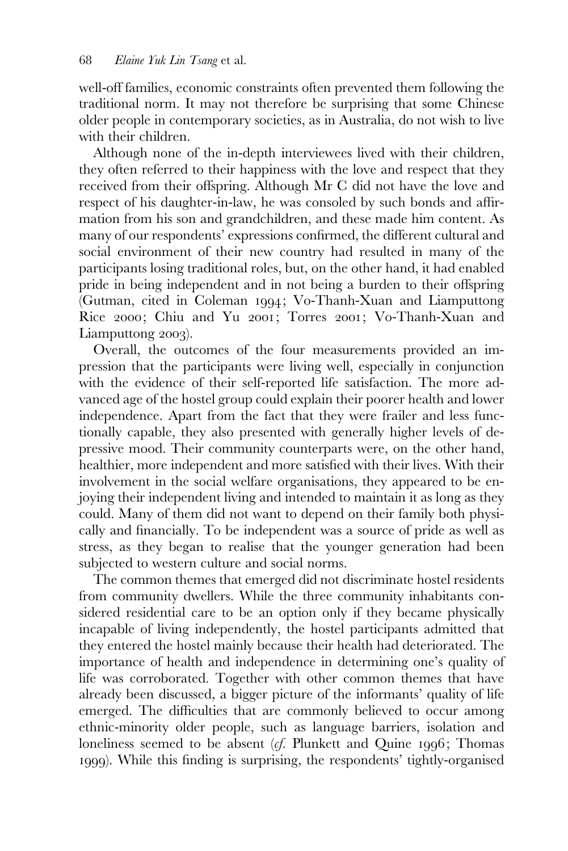well-off families, economic constraints often prevented them following the traditional norm. It may not therefore be surprising that some Chinese older people in contemporary societies, as in Australia, do not wish to live with their children.

Although none of the in-depth interviewees lived with their children, they often referred to their happiness with the love and respect that they received from their offspring. Although Mr C did not have the love and respect of his daughter-in-law, he was consoled by such bonds and affirmation from his son and grandchildren, and these made him content. As many of our respondents' expressions confirmed, the different cultural and social environment of their new country had resulted in many of the participants losing traditional roles, but, on the other hand, it had enabled pride in being independent and in not being a burden to their offspring (Gutman, cited in Coleman 1994; Vo-Thanh-Xuan and Liamputtong Rice 2000; Chiu and Yu 2001; Torres 2001; Vo-Thanh-Xuan and Liamputtong 2003).

Overall, the outcomes of the four measurements provided an impression that the participants were living well, especially in conjunction with the evidence of their self-reported life satisfaction. The more advanced age of the hostel group could explain their poorer health and lower independence. Apart from the fact that they were frailer and less functionally capable, they also presented with generally higher levels of depressive mood. Their community counterparts were, on the other hand, healthier, more independent and more satisfied with their lives. With their involvement in the social welfare organisations, they appeared to be enjoying their independent living and intended to maintain it as long as they could. Many of them did not want to depend on their family both physically and financially. To be independent was a source of pride as well as stress, as they began to realise that the younger generation had been subjected to western culture and social norms.

The common themes that emerged did not discriminate hostel residents from community dwellers. While the three community inhabitants considered residential care to be an option only if they became physically incapable of living independently, the hostel participants admitted that they entered the hostel mainly because their health had deteriorated. The importance of health and independence in determining one's quality of life was corroborated. Together with other common themes that have already been discussed, a bigger picture of the informants' quality of life emerged. The difficulties that are commonly believed to occur among ethnic-minority older people, such as language barriers, isolation and loneliness seemed to be absent (cf. Plunkett and Quine 1996; Thomas 1999). While this finding is surprising, the respondents' tightly-organised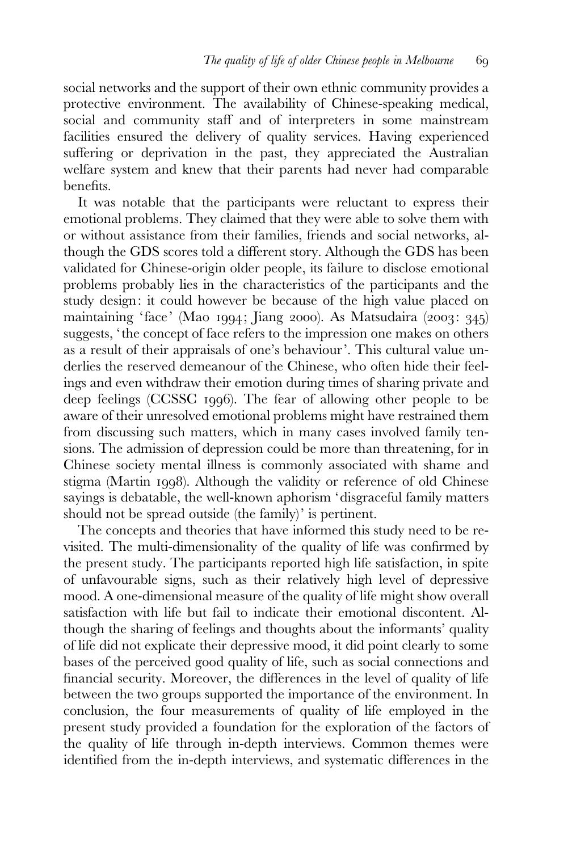social networks and the support of their own ethnic community provides a protective environment. The availability of Chinese-speaking medical, social and community staff and of interpreters in some mainstream facilities ensured the delivery of quality services. Having experienced suffering or deprivation in the past, they appreciated the Australian welfare system and knew that their parents had never had comparable benefits.

It was notable that the participants were reluctant to express their emotional problems. They claimed that they were able to solve them with or without assistance from their families, friends and social networks, although the GDS scores told a different story. Although the GDS has been validated for Chinese-origin older people, its failure to disclose emotional problems probably lies in the characteristics of the participants and the study design: it could however be because of the high value placed on maintaining 'face' (Mao 1994; Jiang 2000). As Matsudaira (2003: 345) suggests, 'the concept of face refers to the impression one makes on others as a result of their appraisals of one's behaviour'. This cultural value underlies the reserved demeanour of the Chinese, who often hide their feelings and even withdraw their emotion during times of sharing private and deep feelings (CCSSC 1996). The fear of allowing other people to be aware of their unresolved emotional problems might have restrained them from discussing such matters, which in many cases involved family tensions. The admission of depression could be more than threatening, for in Chinese society mental illness is commonly associated with shame and stigma (Martin 1998). Although the validity or reference of old Chinese sayings is debatable, the well-known aphorism 'disgraceful family matters should not be spread outside (the family)' is pertinent.

The concepts and theories that have informed this study need to be revisited. The multi-dimensionality of the quality of life was confirmed by the present study. The participants reported high life satisfaction, in spite of unfavourable signs, such as their relatively high level of depressive mood. A one-dimensional measure of the quality of life might show overall satisfaction with life but fail to indicate their emotional discontent. Although the sharing of feelings and thoughts about the informants' quality of life did not explicate their depressive mood, it did point clearly to some bases of the perceived good quality of life, such as social connections and financial security. Moreover, the differences in the level of quality of life between the two groups supported the importance of the environment. In conclusion, the four measurements of quality of life employed in the present study provided a foundation for the exploration of the factors of the quality of life through in-depth interviews. Common themes were identified from the in-depth interviews, and systematic differences in the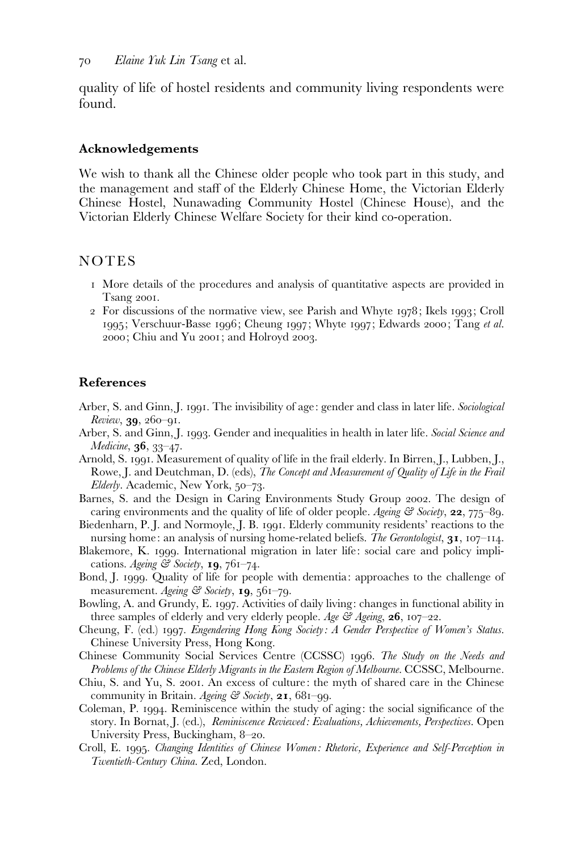quality of life of hostel residents and community living respondents were found.

#### Acknowledgements

We wish to thank all the Chinese older people who took part in this study, and the management and staff of the Elderly Chinese Home, the Victorian Elderly Chinese Hostel, Nunawading Community Hostel (Chinese House), and the Victorian Elderly Chinese Welfare Society for their kind co-operation.

# NOTES

- 1 More details of the procedures and analysis of quantitative aspects are provided in Tsang 2001.
- 2 For discussions of the normative view, see Parish and Whyte 1978; Ikels 1993; Croll 1995; Verschuur-Basse 1996; Cheung 1997; Whyte 1997; Edwards 2000; Tang et al. 2000; Chiu and Yu 2001; and Holroyd 2003.

#### References

- Arber, S. and Ginn, J. 1991. The invisibility of age: gender and class in later life. Sociological Review, 39, 260-91.
- Arber, S. and Ginn, J. 1993. Gender and inequalities in health in later life. Social Science and Medicine, **36**, 33–47.
- Arnold, S. 1991. Measurement of quality of life in the frail elderly. In Birren, J., Lubben, J., Rowe, J. and Deutchman, D. (eds), The Concept and Measurement of Quality of Life in the Frail Elderly. Academic, New York, 50–73.
- Barnes, S. and the Design in Caring Environments Study Group 2002. The design of caring environments and the quality of life of older people. Ageing  $\mathcal{F}$  Society, 22, 775–89.
- Biedenharn, P. J. and Normoyle, J. B. 1991. Elderly community residents' reactions to the nursing home: an analysis of nursing home-related beliefs. The Gerontologist, 31, 107–114.
- Blakemore, K. 1999. International migration in later life: social care and policy implications. Ageing & Society, 19, 761-74.
- Bond, J. 1999. Quality of life for people with dementia: approaches to the challenge of measurement. Ageing & Society, 19, 561-79.
- Bowling, A. and Grundy, E. 1997. Activities of daily living: changes in functional ability in three samples of elderly and very elderly people. Age  $\mathcal{C}$  Ageing, **26**, 107–22.
- Cheung, F. (ed.) 1997. Engendering Hong Kong Society: A Gender Perspective of Women's Status. Chinese University Press, Hong Kong.
- Chinese Community Social Services Centre (CCSSC) 1996. The Study on the Needs and Problems of the Chinese Elderly Migrants in the Eastern Region of Melbourne. CCSSC, Melbourne.
- Chiu, S. and Yu, S. 2001. An excess of culture: the myth of shared care in the Chinese community in Britain. Ageing  $\mathcal C$  Society, 21, 681–99.
- Coleman, P. 1994. Reminiscence within the study of aging: the social significance of the story. In Bornat, J. (ed.), Reminiscence Reviewed: Evaluations, Achievements, Perspectives. Open University Press, Buckingham, 8–20.
- Croll, E. 1995. Changing Identities of Chinese Women: Rhetoric, Experience and Self-Perception in Twentieth-Century China. Zed, London.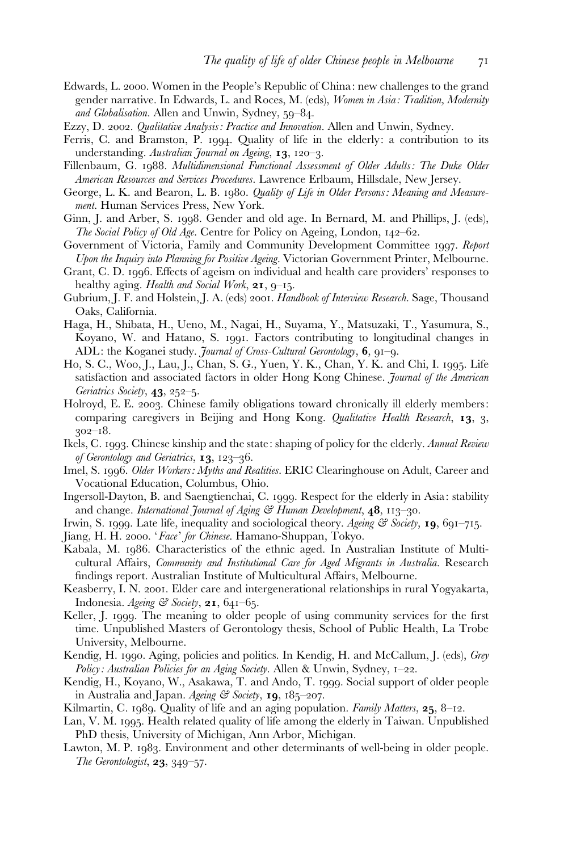- Edwards, L. 2000. Women in the People's Republic of China: new challenges to the grand gender narrative. In Edwards, L. and Roces, M. (eds), Women in Asia: Tradition, Modernity and Globalisation. Allen and Unwin, Sydney, 59–84.
- Ezzy, D. 2002. Qualitative Analysis: Practice and Innovation. Allen and Unwin, Sydney.
- Ferris, C. and Bramston, P. 1994. Quality of life in the elderly: a contribution to its understanding. Australian Journal on Ageing, 13, 120-3.
- Fillenbaum, G. 1988. Multidimensional Functional Assessment of Older Adults: The Duke Older American Resources and Services Procedures. Lawrence Erlbaum, Hillsdale, New Jersey.
- George, L. K. and Bearon, L. B. 1980. Quality of Life in Older Persons: Meaning and Measurement. Human Services Press, New York.
- Ginn, J. and Arber, S. 1998. Gender and old age. In Bernard, M. and Phillips, J. (eds), The Social Policy of Old Age. Centre for Policy on Ageing, London, 142–62.
- Government of Victoria, Family and Community Development Committee 1997. Report Upon the Inquiry into Planning for Positive Ageing. Victorian Government Printer, Melbourne.
- Grant, C. D. 1996. Effects of ageism on individual and health care providers' responses to healthy aging. Health and Social Work, 21, 9-15.
- Gubrium, J. F. and Holstein, J. A. (eds) 2001. Handbook of Interview Research. Sage, Thousand Oaks, California.
- Haga, H., Shibata, H., Ueno, M., Nagai, H., Suyama, Y., Matsuzaki, T., Yasumura, S., Koyano, W. and Hatano, S. 1991. Factors contributing to longitudinal changes in ADL: the Koganei study. *Journal of Cross-Cultural Gerontology*, 6, 91–9.
- Ho, S. C., Woo, J., Lau, J., Chan, S. G., Yuen, Y. K., Chan, Y. K. and Chi, I. 1995. Life satisfaction and associated factors in older Hong Kong Chinese. Journal of the American Geriatrics Society, 43, 252-5.
- Holroyd, E. E. 2003. Chinese family obligations toward chronically ill elderly members: comparing caregivers in Beijing and Hong Kong. Qualitative Health Research, 13, 3, 302–18.
- Ikels, C. 1993. Chinese kinship and the state: shaping of policy for the elderly. Annual Review of Gerontology and Geriatrics,  $13$ ,  $123-36$ .
- Imel, S. 1996. Older Workers: Myths and Realities. ERIC Clearinghouse on Adult, Career and Vocational Education, Columbus, Ohio.
- Ingersoll-Dayton, B. and Saengtienchai, C. 1999. Respect for the elderly in Asia: stability and change. International Journal of Aging  $\mathcal G$  Human Development, 48, 113–30.
- Irwin, S. 1999. Late life, inequality and sociological theory. Ageing  $\mathcal{C}$  Society, 19, 691–715.
- Jiang, H. H. 2000. 'Face' for Chinese. Hamano-Shuppan, Tokyo.
- Kabala, M. 1986. Characteristics of the ethnic aged. In Australian Institute of Multicultural Affairs, Community and Institutional Care for Aged Migrants in Australia. Research findings report. Australian Institute of Multicultural Affairs, Melbourne.
- Keasberry, I. N. 2001. Elder care and intergenerational relationships in rural Yogyakarta, Indonesia. Ageing  $\mathcal C$  Society, 21, 641–65.
- Keller, J. 1999. The meaning to older people of using community services for the first time. Unpublished Masters of Gerontology thesis, School of Public Health, La Trobe University, Melbourne.
- Kendig, H. 1990. Aging, policies and politics. In Kendig, H. and McCallum, J. (eds), Grey Policy: Australian Policies for an Aging Society. Allen & Unwin, Sydney, 1–22.
- Kendig, H., Koyano, W., Asakawa, T. and Ando, T. 1999. Social support of older people in Australia and Japan. Ageing & Society, 19, 185-207.
- Kilmartin, C. 1989. Quality of life and an aging population. Family Matters, 25, 8-12.
- Lan, V. M. 1995. Health related quality of life among the elderly in Taiwan. Unpublished PhD thesis, University of Michigan, Ann Arbor, Michigan.
- Lawton, M. P. 1983. Environment and other determinants of well-being in older people. The Gerontologist, 23, 349–57.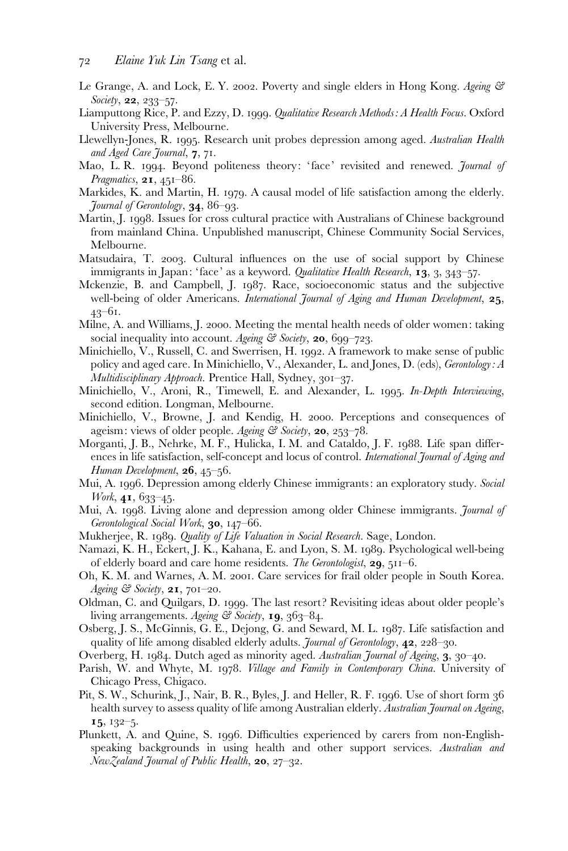- Le Grange, A. and Lock, E. Y. 2002. Poverty and single elders in Hong Kong. Ageing & Society, **22**, 233–57.
- Liamputtong Rice, P. and Ezzy, D. 1999. *Qualitative Research Methods: A Health Focus*. Oxford University Press, Melbourne.
- Llewellyn-Jones, R. 1995. Research unit probes depression among aged. Australian Health and Aged Care Journal, 7, 71.
- Mao, L. R. 1994. Beyond politeness theory: 'face' revisited and renewed. Journal of Pragmatics,  $21, 451-86$ .
- Markides, K. and Martin, H. 1979. A causal model of life satisfaction among the elderly. Journal of Gerontology, 34, 86–93.
- Martin, J. 1998. Issues for cross cultural practice with Australians of Chinese background from mainland China. Unpublished manuscript, Chinese Community Social Services, Melbourne.
- Matsudaira, T. 2003. Cultural influences on the use of social support by Chinese immigrants in Japan: 'face' as a keyword. *Qualitative Health Research*, **13**, 3, 343–57.
- Mckenzie, B. and Campbell, J. 1987. Race, socioeconomic status and the subjective well-being of older Americans. International Journal of Aging and Human Development, 25, 43–61.
- Milne, A. and Williams, J. 2000. Meeting the mental health needs of older women: taking social inequality into account. Ageing  $\mathcal{C}$  Society, **20**, 699–723.
- Minichiello, V., Russell, C. and Swerrisen, H. 1992. A framework to make sense of public policy and aged care. In Minichiello, V., Alexander, L. and Jones, D. (eds), *Gerontology*:  $A$ Multidisciplinary Approach. Prentice Hall, Sydney, 301–37.
- Minichiello, V., Aroni, R., Timewell, E. and Alexander, L. 1995. In-Depth Interviewing, second edition. Longman, Melbourne.
- Minichiello, V., Browne, J. and Kendig, H. 2000. Perceptions and consequences of ageism: views of older people. Ageing & Society, 20, 253-78.
- Morganti, J. B., Nehrke, M. F., Hulicka, I. M. and Cataldo, J. F. 1988. Life span differences in life satisfaction, self-concept and locus of control. International Journal of Aging and Human Development,  $26, 45-56$ .
- Mui, A. 1996. Depression among elderly Chinese immigrants: an exploratory study. Social *Work*,  $41, 633 - 45$ .
- Mui, A. 1998. Living alone and depression among older Chinese immigrants. Journal of Gerontological Social Work, 30, 147–66.
- Mukherjee, R. 1989. Quality of Life Valuation in Social Research. Sage, London.
- Namazi, K. H., Eckert, J. K., Kahana, E. and Lyon, S. M. 1989. Psychological well-being of elderly board and care home residents. The Gerontologist,  $29$ ,  $511-6$ .
- Oh, K. M. and Warnes, A. M. 2001. Care services for frail older people in South Korea. Ageing  $\mathcal{C}$  Society, 21, 701–20.
- Oldman, C. and Quilgars, D. 1999. The last resort ? Revisiting ideas about older people's living arrangements. Ageing  $\mathcal G$  Society, **19**, 363–84.
- Osberg, J. S., McGinnis, G. E., Dejong, G. and Seward, M. L. 1987. Life satisfaction and quality of life among disabled elderly adults. Journal of Gerontology, 42, 228-30.
- Overberg, H. 1984. Dutch aged as minority aged. Australian Journal of Ageing, 3, 30-40.
- Parish, W. and Whyte, M. 1978. Village and Family in Contemporary China. University of Chicago Press, Chigaco.
- Pit, S. W., Schurink, J., Nair, B. R., Byles, J. and Heller, R. F. 1996. Use of short form 36 health survey to assess quality of life among Australian elderly. Australian Journal on Ageing, 15, 132–5.
- Plunkett, A. and Quine, S. 1996. Difficulties experienced by carers from non-Englishspeaking backgrounds in using health and other support services. Australian and NewZealand Journal of Public Health, 20, 27-32.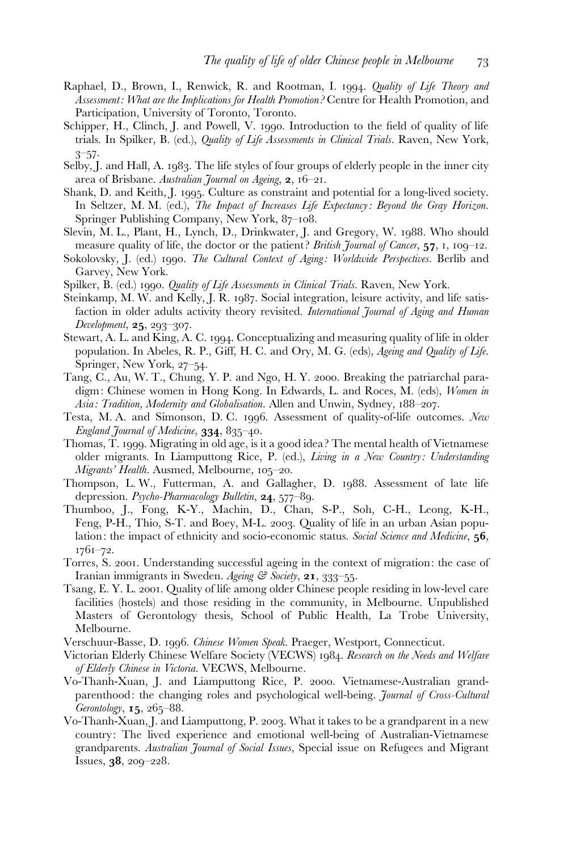- Raphael, D., Brown, I., Renwick, R. and Rootman, I. 1994. Quality of Life Theory and Assessment: What are the Implications for Health Promotion ? Centre for Health Promotion, and Participation, University of Toronto, Toronto.
- Schipper, H., Clinch, J. and Powell, V. 1990. Introduction to the field of quality of life trials. In Spilker, B. (ed.), Quality of Life Assessments in Clinical Trials. Raven, New York, 3–57.
- Selby, J. and Hall, A. 1983. The life styles of four groups of elderly people in the inner city area of Brisbane. Australian Journal on Ageing, 2, 16–21.
- Shank, D. and Keith, J. 1995. Culture as constraint and potential for a long-lived society. In Seltzer, M. M. (ed.), The Impact of Increases Life Expectancy: Beyond the Gray Horizon. Springer Publishing Company, New York, 87–108.
- Slevin, M. L., Plant, H., Lynch, D., Drinkwater, J. and Gregory, W. 1988. Who should measure quality of life, the doctor or the patient? *British Journal of Cancer*, 57, 1, 109–12.
- Sokolovsky, J. (ed.) 1990. The Cultural Context of Aging: Worldwide Perspectives. Berlib and Garvey, New York.
- Spilker, B. (ed.) 1990. *Quality of Life Assessments in Clinical Trials*. Raven, New York.
- Steinkamp, M. W. and Kelly, J. R. 1987. Social integration, leisure activity, and life satisfaction in older adults activity theory revisited. International Journal of Aging and Human Development,  $25, 293 - 307$ .
- Stewart, A. L. and King, A. C. 1994. Conceptualizing and measuring quality of life in older population. In Abeles, R. P., Giff, H. C. and Ory, M. G. (eds), Ageing and Quality of Life. Springer, New York, 27–54.
- Tang, C., Au, W. T., Chung, Y. P. and Ngo, H. Y. 2000. Breaking the patriarchal paradigm: Chinese women in Hong Kong. In Edwards, L. and Roces, M. (eds), Women in Asia: Tradition, Modernity and Globalisation. Allen and Unwin, Sydney, 188–207.
- Testa, M. A. and Simonson, D. C. 1996. Assessment of quality-of-life outcomes. New England Journal of Medicine,  $334, 835 - 40$ .
- Thomas, T. 1999. Migrating in old age, is it a good idea ? The mental health of Vietnamese older migrants. In Liamputtong Rice, P. (ed.), Living in a New Country: Understanding Migrants' Health. Ausmed, Melbourne, 105-20.
- Thompson, L. W., Futterman, A. and Gallagher, D. 1988. Assessment of late life depression. Psycho-Pharmacology Bulletin, 24, 577–89.
- Thumboo, J., Fong, K-Y., Machin, D., Chan, S-P., Soh, C-H., Leong, K-H., Feng, P-H., Thio, S-T. and Boey, M-L. 2003. Quality of life in an urban Asian population: the impact of ethnicity and socio-economic status. Social Science and Medicine, 56, 1761–72.
- Torres, S. 2001. Understanding successful ageing in the context of migration: the case of Iranian immigrants in Sweden. Ageing & Society, 21, 333-55.
- Tsang, E. Y. L. 2001. Quality of life among older Chinese people residing in low-level care facilities (hostels) and those residing in the community, in Melbourne. Unpublished Masters of Gerontology thesis, School of Public Health, La Trobe University, Melbourne.
- Verschuur-Basse, D. 1996. Chinese Women Speak. Praeger, Westport, Connecticut.
- Victorian Elderly Chinese Welfare Society (VECWS) 1984. Research on the Needs and Welfare of Elderly Chinese in Victoria. VECWS, Melbourne.
- Vo-Thanh-Xuan, J. and Liamputtong Rice, P. 2000. Vietnamese-Australian grandparenthood: the changing roles and psychological well-being. Journal of Cross-Cultural Gerontology,  $15, 265 - 88$ .
- Vo-Thanh-Xuan, J. and Liamputtong, P. 2003. What it takes to be a grandparent in a new country: The lived experience and emotional well-being of Australian-Vietnamese grandparents. Australian Journal of Social Issues, Special issue on Refugees and Migrant Issues, 38, 209–228.